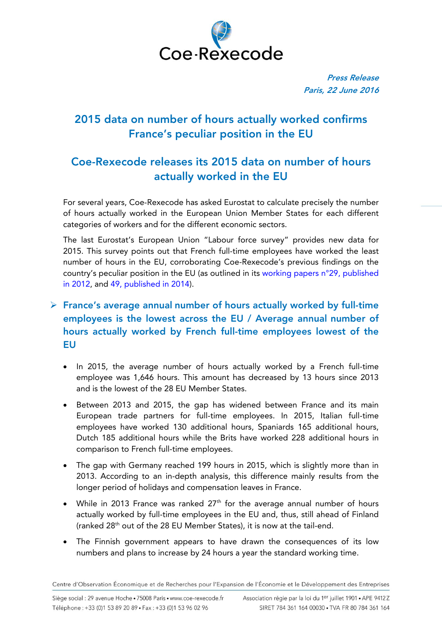

Press Release Paris, 22 June 2016

## 2015 data on number of hours actually worked confirms France's peculiar position in the EU

# Coe-Rexecode releases its 2015 data on number of hours actually worked in the EU

For several years, Coe-Rexecode has asked Eurostat to calculate precisely the number of hours actually worked in the European Union Member States for each different categories of workers and for the different economic sectors.

The last Eurostat's European Union "Labour force survey" provides new data for 2015. This survey points out that French full-time employees have worked the least number of hours in the EU, corroborating Coe-Rexecode's previous findings on the country's peculiar position in the EU (as outlined in its [working papers n°29,](http://www.coe-rexecode.fr/Liens-en-tete/English/Actual-working-time-in-France-is-one-of-the-weakest-in-Europe-in-2010) published [in 2012,](http://www.coe-rexecode.fr/Liens-en-tete/English/Actual-working-time-in-France-is-one-of-the-weakest-in-Europe-in-2010) and 49, [published in 2014\)](http://www.coe-rexecode.fr/Liens-en-tete/English/Actual-working-time-in-France-and-in-Europe-in-2013).

### $\triangleright$  France's average annual number of hours actually worked by full-time employees is the lowest across the EU / Average annual number of hours actually worked by French full-time employees lowest of the EU

- In 2015, the average number of hours actually worked by a French full-time employee was 1,646 hours. This amount has decreased by 13 hours since 2013 and is the lowest of the 28 EU Member States.
- Between 2013 and 2015, the gap has widened between France and its main European trade partners for full-time employees. In 2015, Italian full-time employees have worked 130 additional hours, Spaniards 165 additional hours, Dutch 185 additional hours while the Brits have worked 228 additional hours in comparison to French full-time employees.
- The gap with Germany reached 199 hours in 2015, which is slightly more than in 2013. According to an in-depth analysis, this difference mainly results from the longer period of holidays and compensation leaves in France.
- While in 2013 France was ranked  $27<sup>th</sup>$  for the average annual number of hours actually worked by full-time employees in the EU and, thus, still ahead of Finland (ranked 28th out of the 28 EU Member States), it is now at the tail-end.
- The Finnish government appears to have drawn the consequences of its low numbers and plans to increase by 24 hours a year the standard working time.

Centre d'Observation Économique et de Recherches pour l'Expansion de l'Économie et le Développement des Entreprises